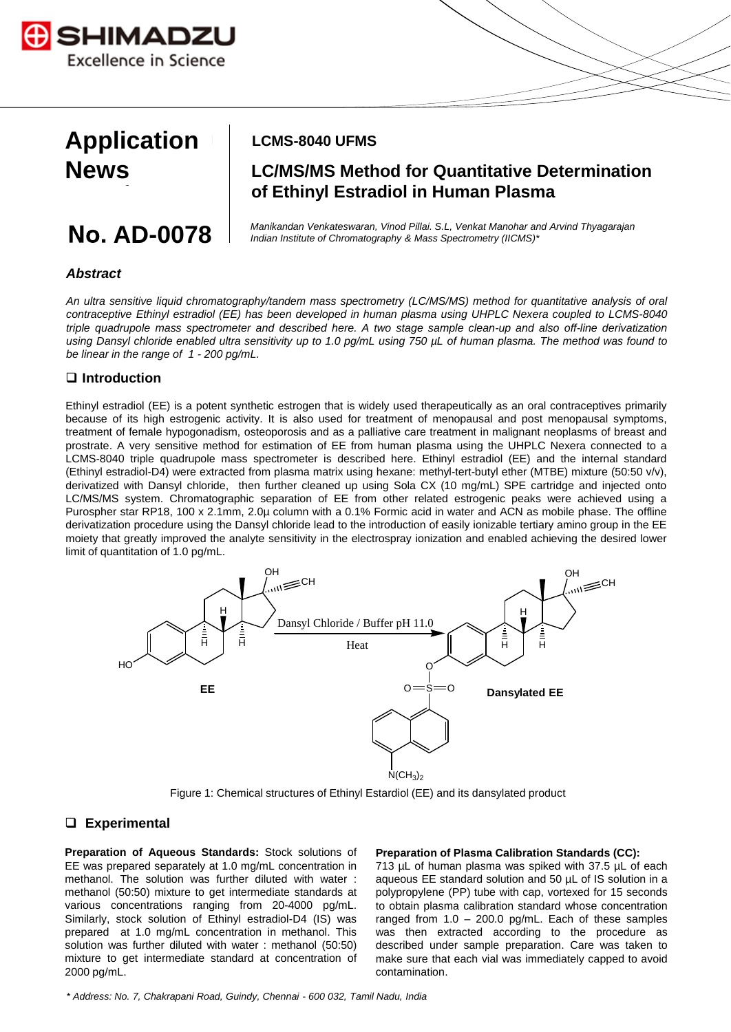

# **Application News**

# **AD-0078**

# **LCMS-8040 UFMS**

# **LC/MS/MS Method for Quantitative Determination of Ethinyl Estradiol in Human Plasma**

*Manikandan Venkateswaran, Vinod Pillai. S.L, Venkat Manohar and Arvind Thyagarajan Indian Institute of Chromatography & Mass Spectrometry (IICMS)\**

## *Abstract*

*An ultra sensitive liquid chromatography/tandem mass spectrometry (LC/MS/MS) method for quantitative analysis of oral contraceptive Ethinyl estradiol (EE) has been developed in human plasma using UHPLC Nexera coupled to LCMS-8040* triple quadrupole mass spectrometer and described here. A two stage sample clean-up and also off-line derivatization using Dansyl chloride enabled ultra sensitivity up to 1.0 pg/mL using 750 µL of human plasma. The method was found to *be linear in the range of 1 - 200 pg/mL.*

#### **Introduction**

Ethinyl estradiol (EE) is a potent synthetic estrogen that is widely used therapeutically as an oral contraceptives primarily because of its high estrogenic activity. It is also used for treatment of menopausal and post menopausal symptoms, treatment of female hypogonadism, osteoporosis and as a palliative care treatment in malignant neoplasms of breast and prostrate. A very sensitive method for estimation of EE from human plasma using the UHPLC Nexera connected to a LCMS-8040 triple quadrupole mass spectrometer is described here. Ethinyl estradiol (EE) and the internal standard (Ethinyl estradiol-D4) were extracted from plasma matrix using hexane: methyl-tert-butyl ether (MTBE) mixture (50:50 v/v), derivatized with Dansyl chloride, then further cleaned up using Sola CX (10 mg/mL) SPE cartridge and injected onto LC/MS/MS system. Chromatographic separation of EE from other related estrogenic peaks were achieved using a Purospher star RP18, 100 x 2.1mm, 2.0µ column with a 0.1% Formic acid in water and ACN as mobile phase. The offline derivatization procedure using the Dansyl chloride lead to the introduction of easily ionizable tertiary amino group in the EE moiety that greatly improved the analyte sensitivity in the electrospray ionization and enabled achieving the desired lower limit of quantitation of 1.0 pg/mL.



Figure 1: Chemical structures of Ethinyl Estardiol (EE) and its dansylated product

#### **Experimental**

**Preparation of Aqueous Standards:** Stock solutions of EE was prepared separately at 1.0 mg/mL concentration in methanol. The solution was further diluted with water : methanol (50:50) mixture to get intermediate standards at various concentrations ranging from 20-4000 pg/mL. Similarly, stock solution of Ethinyl estradiol-D4 (IS) was prepared at 1.0 mg/mL concentration in methanol. This solution was further diluted with water : methanol (50:50) mixture to get intermediate standard at concentration of 2000 pg/mL.

#### **Preparation of Plasma Calibration Standards (CC):**

713 µL of human plasma was spiked with 37.5 µL of each aqueous EE standard solution and 50 µL of IS solution in a polypropylene (PP) tube with cap, vortexed for 15 seconds to obtain plasma calibration standard whose concentration ranged from  $1.0 - 200.0$  pg/mL. Each of these samples was then extracted according to the procedure as described under sample preparation. Care was taken to make sure that each vial was immediately capped to avoid contamination.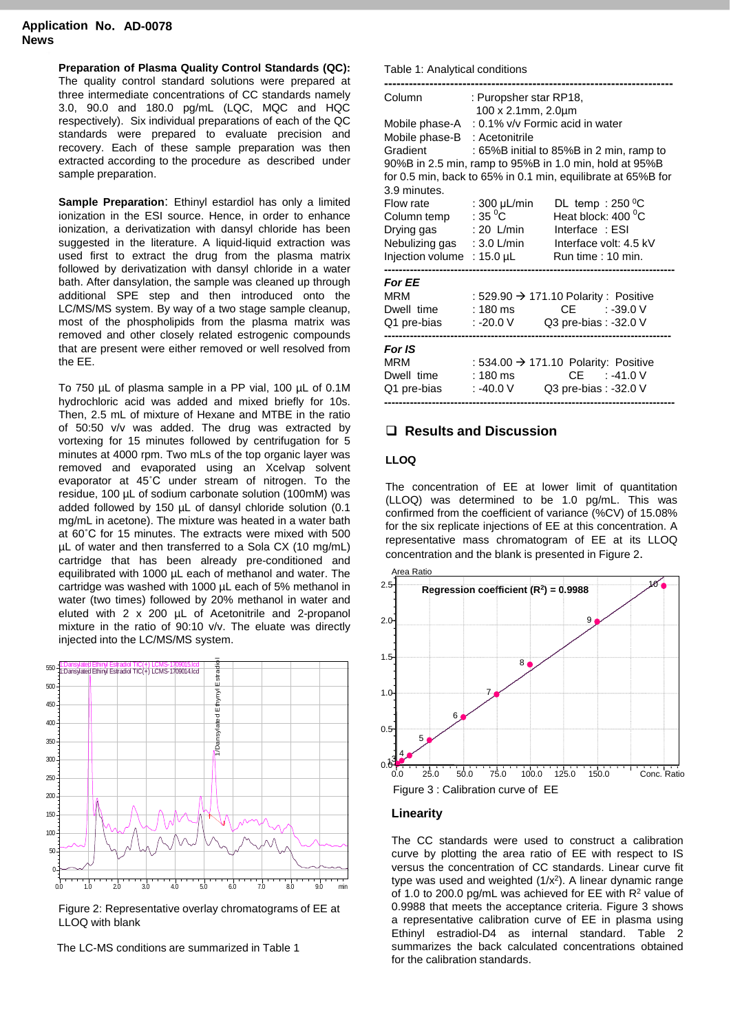**Preparation of Plasma Quality Control Standards (QC):** The quality control standard solutions were prepared at three intermediate concentrations of CC standards namely 3.0, 90.0 and 180.0 pg/mL (LQC, MQC and HQC respectively). Six individual preparations of each of the QC standards were prepared to evaluate precision and recovery. Each of these sample preparation was then extracted according to the procedure as described under sample preparation.

**Sample Preparation**: Ethinyl estardiol has only a limited ionization in the ESI source. Hence, in order to enhance ionization, a derivatization with dansyl chloride has been suggested in the literature. A liquid-liquid extraction was used first to extract the drug from the plasma matrix followed by derivatization with dansyl chloride in a water bath. After dansylation, the sample was cleaned up through additional SPE step and then introduced onto the LC/MS/MS system. By way of a two stage sample cleanup, most of the phospholipids from the plasma matrix was removed and other closely related estrogenic compounds that are present were either removed or well resolved from the EE.

To 750 µL of plasma sample in a PP vial, 100 µL of 0.1M hydrochloric acid was added and mixed briefly for 10s. Then, 2.5 mL of mixture of Hexane and MTBE in the ratio of 50:50 v/v was added. The drug was extracted by vortexing for 15 minutes followed by centrifugation for 5 minutes at 4000 rpm. Two mLs of the top organic layer was removed and evaporated using an Xcelvap solvent evaporator at 45˚C under stream of nitrogen. To the residue, 100 µL of sodium carbonate solution (100mM) was added followed by 150 µL of dansyl chloride solution (0.1 mg/mL in acetone). The mixture was heated in a water bath at 60˚C for 15 minutes. The extracts were mixed with 500 µL of water and then transferred to a Sola CX (10 mg/mL) cartridge that has been already pre-conditioned and equilibrated with 1000 µL each of methanol and water. The cartridge was washed with 1000 µL each of 5% methanol in water (two times) followed by 20% methanol in water and eluted with 2 x 200 µL of Acetonitrile and 2-propanol mixture in the ratio of 90:10 v/v. The eluate was directly injected into the LC/MS/MS system.



Figure 2: Representative overlay chromatograms of EE at LLOQ with blank

#### Table 1: Analytical conditions

| Column                                                       | : Puropsher star RP18,<br>$100 \times 2.1$ mm, $2.0 \mu m$ |                                                  |  |  |  |
|--------------------------------------------------------------|------------------------------------------------------------|--------------------------------------------------|--|--|--|
|                                                              | Mobile phase-A : 0.1% v/v Formic acid in water             |                                                  |  |  |  |
| Mobile phase-B : Acetonitrile                                |                                                            |                                                  |  |  |  |
| Gradient                                                     | : 65%B initial to 85%B in 2 min, ramp to                   |                                                  |  |  |  |
|                                                              | 90%B in 2.5 min, ramp to 95%B in 1.0 min, hold at 95%B     |                                                  |  |  |  |
| for 0.5 min, back to 65% in 0.1 min, equilibrate at 65%B for |                                                            |                                                  |  |  |  |
| 3.9 minutes.                                                 |                                                            |                                                  |  |  |  |
| Flow rate                                                    | : $300 \mu L/min$                                          | DL temp: $250 °C$                                |  |  |  |
| Column temp                                                  | $:35\,^0$ C                                                | Heat block: 400 °C                               |  |  |  |
| Drying gas                                                   | : 20 L/min                                                 | Interface: ESI                                   |  |  |  |
| Nebulizing gas : 3.0 L/min                                   |                                                            | Interface volt: 4.5 kV                           |  |  |  |
| Injection volume : 15.0 µL                                   |                                                            | Run time: 10 min.                                |  |  |  |
| <b>For EE</b>                                                |                                                            |                                                  |  |  |  |
| MRM                                                          | : 529.90 $\rightarrow$ 171.10 Polarity : Positive          |                                                  |  |  |  |
| Dwell time                                                   | : 180 ms                                                   | СE<br>$: -39.0 \,\mathrm{V}$                     |  |  |  |
| Q1 pre-bias                                                  | : -20.0 V                                                  | Q3 pre-bias : -32.0 V                            |  |  |  |
|                                                              |                                                            |                                                  |  |  |  |
| For IS                                                       |                                                            |                                                  |  |  |  |
| <b>MRM</b>                                                   |                                                            | : 534.00 $\rightarrow$ 171.10 Polarity: Positive |  |  |  |
| Dwell time                                                   | : 180 ms                                                   | CE : -41.0 V                                     |  |  |  |
| Q1 pre-bias                                                  | : -40.0 V                                                  | Q3 pre-bias : -32.0 V                            |  |  |  |
|                                                              |                                                            |                                                  |  |  |  |

#### **Results and Discussion**

#### **LLOQ**

The concentration of EE at lower limit of quantitation (LLOQ) was determined to be 1.0 pg/mL. This was confirmed from the coefficient of variance (%CV) of 15.08% for the six replicate injections of EE at this concentration. A representative mass chromatogram of EE at its LLOQ concentration and the blank is presented in Figure 2.



#### **Linearity**

The CC standards were used to construct a calibration curve by plotting the area ratio of EE with respect to IS versus the concentration of CC standards. Linear curve fit type was used and weighted  $(1/x<sup>2</sup>)$ . A linear dynamic range of 1.0 to 200.0 pg/mL was achieved for EE with  $R^2$  value of 0.9988 that meets the acceptance criteria. Figure 3 shows a representative calibration curve of EE in plasma using Ethinyl estradiol-D4 as internal standard. Table 2 summarizes the back calculated concentrations obtained for the calibration standards.

The LC-MS conditions are summarized in Table 1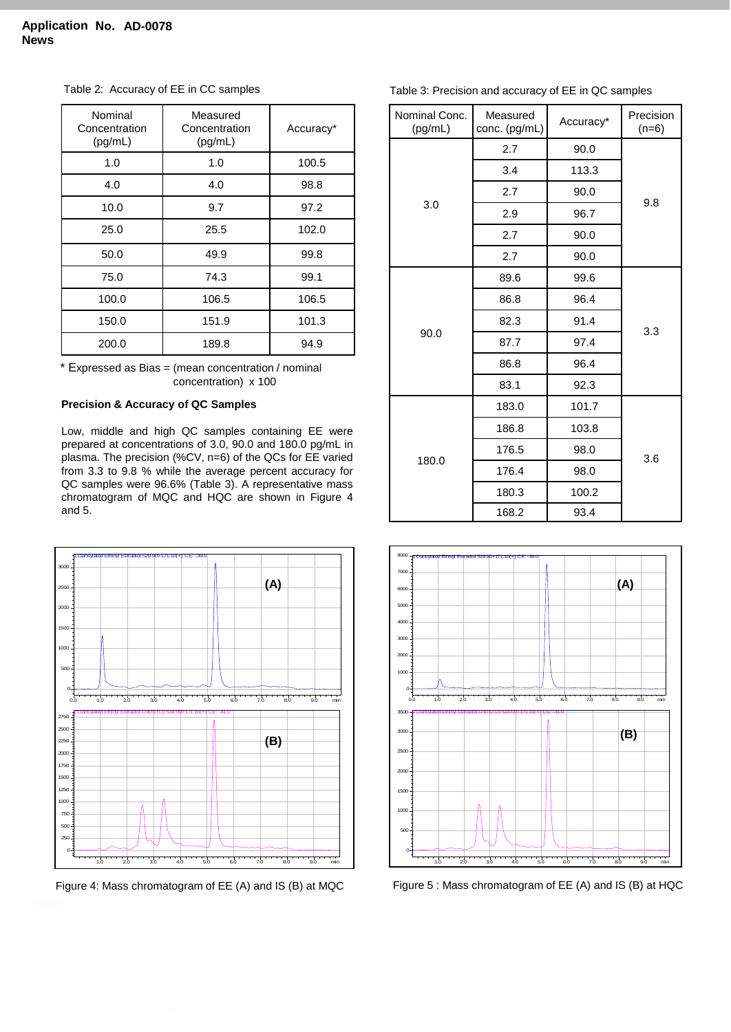| Nominal<br>Concentration<br>(pg/mL) | Measured<br>Concentration<br>(pg/mL) | Accuracy* |
|-------------------------------------|--------------------------------------|-----------|
| 1.0                                 | 1.0                                  | 100.5     |
| 4.0                                 | 4.0                                  | 98.8      |
| 10.0                                | 9.7                                  | 97.2      |
| 25.0                                | 25.5                                 | 102.0     |
| 50.0                                | 49.9                                 | 99.8      |
| 75.0                                | 74.3                                 | 99.1      |
| 100.0                               | 106.5                                | 106.5     |
| 150.0                               | 151.9                                | 101.3     |
| 200.0                               | 189.8                                | 94.9      |

Table 2: Accuracy of EE in CC samples

\* Expressed as Bias = (mean concentration / nominal concentration) x 100

#### **Precision & Accuracy of QC Samples**

Low, middle and high QC samples containing EE were prepared at concentrations of 3.0, 90.0 and 180.0 pg/mL in plasma. The precision (%CV, n=6) of the QCs for EE varied from 3.3 to 9.8 % while the average percent accuracy for QC samples were 96.6% (Table 3). A representative mass chromatogram of MQC and HQC are shown in Figure 4 and 5.



#### Table 3: Precision and accuracy of EE in QC samples

| Nominal Conc.<br>(pg/mL) | Measured<br>conc. (pg/mL) | Accuracy* | Precision<br>$(n=6)$ |
|--------------------------|---------------------------|-----------|----------------------|
| 3.0                      | 2.7                       | 90.0      | 9.8                  |
|                          | 3.4                       | 113.3     |                      |
|                          | 2.7                       | 90.0      |                      |
|                          | 2.9                       | 96.7      |                      |
|                          | 2.7                       | 90.0      |                      |
|                          | 2.7                       | 90.0      |                      |
| 90.0                     | 89.6                      | 99.6      | 3.3                  |
|                          | 86.8                      | 96.4      |                      |
|                          | 82.3                      | 91.4      |                      |
|                          | 87.7                      | 97.4      |                      |
|                          | 86.8                      | 96.4      |                      |
|                          | 83.1                      | 92.3      |                      |
| 180.0                    | 183.0                     | 101.7     |                      |
|                          | 186.8                     | 103.8     |                      |
|                          | 176.5                     | 98.0      | 3.6                  |
|                          | 176.4                     | 98.0      |                      |
|                          | 180.3                     | 100.2     |                      |
|                          | 168.2                     | 93.4      |                      |



Figure 4: Mass chromatogram of EE (A) and IS (B) at MQC Figure 5 : Mass chromatogram of EE (A) and IS (B) at HQC